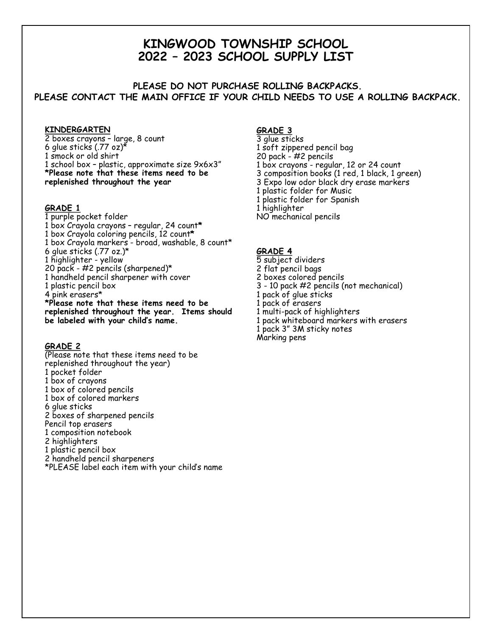# **KINGWOOD TOWNSHIP SCHOOL 2022 – 2023 SCHOOL SUPPLY LIST**

## **PLEASE DO NOT PURCHASE ROLLING BACKPACKS. PLEASE CONTACT THE MAIN OFFICE IF YOUR CHILD NEEDS TO USE A ROLLING BACKPACK.**

#### **KINDERGARTEN**

2 boxes crayons – large, 8 count 6 glue sticks (.77 oz)\* 1 smock or old shirt 1 school box – plastic, approximate size 9x6x3" **\*Please note that these items need to be replenished throughout the year**

#### **GRADE 1**

1 purple pocket folder 1 box Crayola crayons – regular, 24 count**\*** 1 box Crayola coloring pencils, 12 count**\*** 1 box Crayola markers - broad, washable, 8 count\* 6 glue sticks (.77 oz.)\* 1 highlighter - yellow 20 pack - #2 pencils (sharpened)\* 1 handheld pencil sharpener with cover 1 plastic pencil box 4 pink erasers\* **\*Please note that these items need to be replenished throughout the year. Items should be labeled with your child's name.**

#### **GRADE 2**

(Please note that these items need to be replenished throughout the year) 1 pocket folder 1 box of crayons 1 box of colored pencils 1 box of colored markers 6 glue sticks 2 boxes of sharpened pencils Pencil top erasers 1 composition notebook 2 highlighters 1 plastic pencil box 2 handheld pencil sharpeners \*PLEASE label each item with your child's name

#### **GRADE 3**

- 3 glue sticks 1 soft zippered pencil bag 20 pack - #2 pencils 1 box crayons - regular, 12 or 24 count 3 composition books (1 red, 1 black, 1 green) 3 Expo low odor black dry erase markers 1 plastic folder for Music 1 plastic folder for Spanish 1 highlighter
- NO mechanical pencils

#### **GRADE 4**

5 subject dividers 2 flat pencil bags 2 boxes colored pencils 3 - 10 pack #2 pencils (not mechanical) 1 pack of glue sticks 1 pack of erasers 1 multi-pack of highlighters 1 pack whiteboard markers with erasers 1 pack 3" 3M sticky notes Marking pens